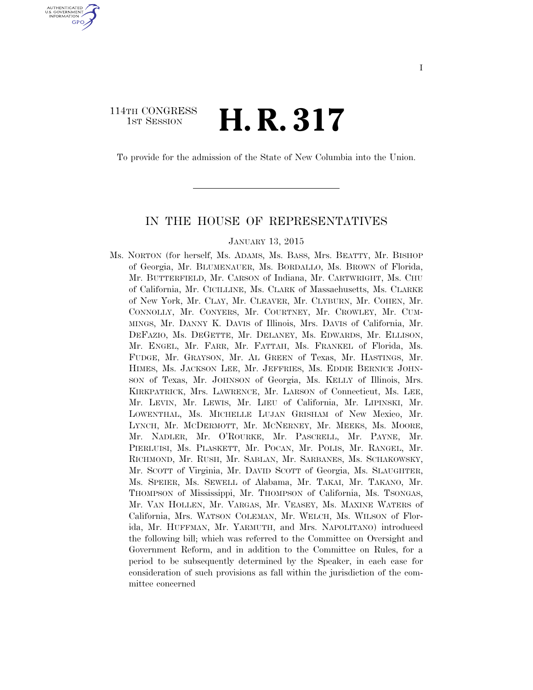### 114TH CONGRESS  $\frac{1}{15T}$  Session **H. R. 317**

U.S. GOVERNMENT GPO

To provide for the admission of the State of New Columbia into the Union.

### IN THE HOUSE OF REPRESENTATIVES

#### JANUARY 13, 2015

Ms. NORTON (for herself, Ms. ADAMS, Ms. BASS, Mrs. BEATTY, Mr. BISHOP of Georgia, Mr. BLUMENAUER, Ms. BORDALLO, Ms. BROWN of Florida, Mr. BUTTERFIELD, Mr. CARSON of Indiana, Mr. CARTWRIGHT, Ms. CHU of California, Mr. CICILLINE, Ms. CLARK of Massachusetts, Ms. CLARKE of New York, Mr. CLAY, Mr. CLEAVER, Mr. CLYBURN, Mr. COHEN, Mr. CONNOLLY, Mr. CONYERS, Mr. COURTNEY, Mr. CROWLEY, Mr. CUM-MINGS, Mr. DANNY K. DAVIS of Illinois, Mrs. DAVIS of California, Mr. DEFAZIO, Ms. DEGETTE, Mr. DELANEY, Ms. EDWARDS, Mr. ELLISON, Mr. ENGEL, Mr. FARR, Mr. FATTAH, Ms. FRANKEL of Florida, Ms. FUDGE, Mr. GRAYSON, Mr. AL GREEN of Texas, Mr. HASTINGS, Mr. HIMES, Ms. JACKSON LEE, Mr. JEFFRIES, Ms. EDDIE BERNICE JOHN-SON of Texas, Mr. JOHNSON of Georgia, Ms. KELLY of Illinois, Mrs. KIRKPATRICK, Mrs. LAWRENCE, Mr. LARSON of Connecticut, Ms. LEE, Mr. LEVIN, Mr. LEWIS, Mr. LIEU of California, Mr. LIPINSKI, Mr. LOWENTHAL, Ms. MICHELLE LUJAN GRISHAM of New Mexico, Mr. LYNCH, Mr. MCDERMOTT, Mr. MCNERNEY, Mr. MEEKS, Ms. MOORE, Mr. NADLER, Mr. O'ROURKE, Mr. PASCRELL, Mr. PAYNE, Mr. PIERLUISI, Ms. PLASKETT, Mr. POCAN, Mr. POLIS, Mr. RANGEL, Mr. RICHMOND, Mr. RUSH, Mr. SABLAN, Mr. SARBANES, Ms. SCHAKOWSKY, Mr. SCOTT of Virginia, Mr. DAVID SCOTT of Georgia, Ms. SLAUGHTER, Ms. SPEIER, Ms. SEWELL of Alabama, Mr. TAKAI, Mr. TAKANO, Mr. THOMPSON of Mississippi, Mr. THOMPSON of California, Ms. TSONGAS, Mr. VAN HOLLEN, Mr. VARGAS, Mr. VEASEY, Ms. MAXINE WATERS of California, Mrs. WATSON COLEMAN, Mr. WELCH, Ms. WILSON of Florida, Mr. HUFFMAN, Mr. YARMUTH, and Mrs. NAPOLITANO) introduced the following bill; which was referred to the Committee on Oversight and Government Reform, and in addition to the Committee on Rules, for a period to be subsequently determined by the Speaker, in each case for consideration of such provisions as fall within the jurisdiction of the committee concerned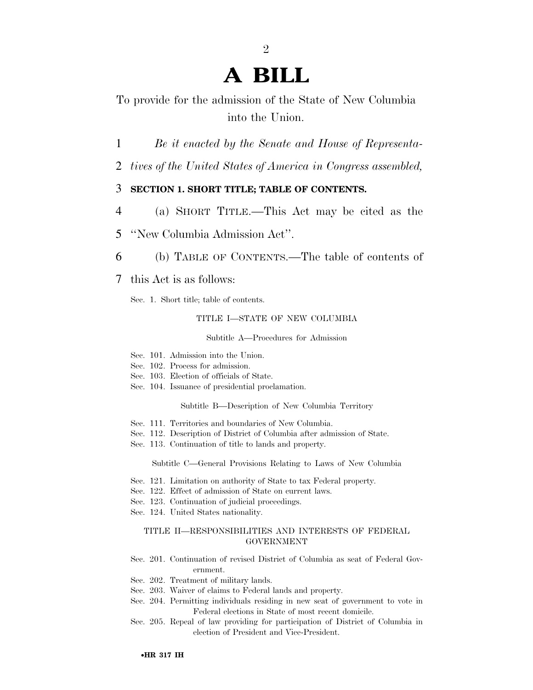# **A BILL**

2

To provide for the admission of the State of New Columbia into the Union.

- 1 *Be it enacted by the Senate and House of Representa-*
- 2 *tives of the United States of America in Congress assembled,*

### 3 **SECTION 1. SHORT TITLE; TABLE OF CONTENTS.**

- 4 (a) SHORT TITLE.—This Act may be cited as the
- 5 ''New Columbia Admission Act''.
- 6 (b) TABLE OF CONTENTS.—The table of contents of
- 7 this Act is as follows:

Sec. 1. Short title; table of contents.

#### TITLE I—STATE OF NEW COLUMBIA

Subtitle A—Procedures for Admission

- Sec. 101. Admission into the Union.
- Sec. 102. Process for admission.
- Sec. 103. Election of officials of State.
- Sec. 104. Issuance of presidential proclamation.

Subtitle B—Description of New Columbia Territory

- Sec. 111. Territories and boundaries of New Columbia.
- Sec. 112. Description of District of Columbia after admission of State.
- Sec. 113. Continuation of title to lands and property.

Subtitle C—General Provisions Relating to Laws of New Columbia

- Sec. 121. Limitation on authority of State to tax Federal property.
- Sec. 122. Effect of admission of State on current laws.
- Sec. 123. Continuation of judicial proceedings.
- Sec. 124. United States nationality.

#### TITLE II—RESPONSIBILITIES AND INTERESTS OF FEDERAL GOVERNMENT

- Sec. 201. Continuation of revised District of Columbia as seat of Federal Government.
- Sec. 202. Treatment of military lands.
- Sec. 203. Waiver of claims to Federal lands and property.
- Sec. 204. Permitting individuals residing in new seat of government to vote in Federal elections in State of most recent domicile.
- Sec. 205. Repeal of law providing for participation of District of Columbia in election of President and Vice-President.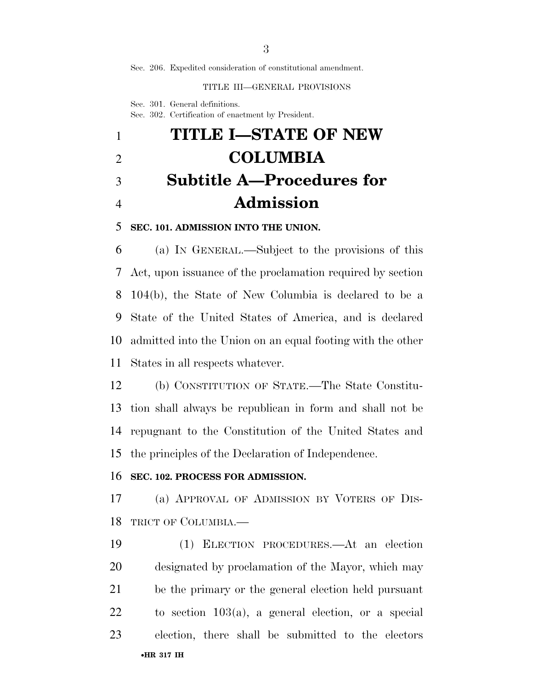Sec. 206. Expedited consideration of constitutional amendment.

#### TITLE III—GENERAL PROVISIONS

Sec. 301. General definitions. Sec. 302. Certification of enactment by President.

# **TITLE I—STATE OF NEW COLUMBIA Subtitle A—Procedures for Admission**

### **SEC. 101. ADMISSION INTO THE UNION.**

 (a) IN GENERAL.—Subject to the provisions of this Act, upon issuance of the proclamation required by section 104(b), the State of New Columbia is declared to be a State of the United States of America, and is declared admitted into the Union on an equal footing with the other States in all respects whatever.

 (b) CONSTITUTION OF STATE.—The State Constitu- tion shall always be republican in form and shall not be repugnant to the Constitution of the United States and the principles of the Declaration of Independence.

### **SEC. 102. PROCESS FOR ADMISSION.**

 (a) APPROVAL OF ADMISSION BY VOTERS OF DIS-TRICT OF COLUMBIA.—

•**HR 317 IH** (1) ELECTION PROCEDURES.—At an election designated by proclamation of the Mayor, which may be the primary or the general election held pursuant to section 103(a), a general election, or a special election, there shall be submitted to the electors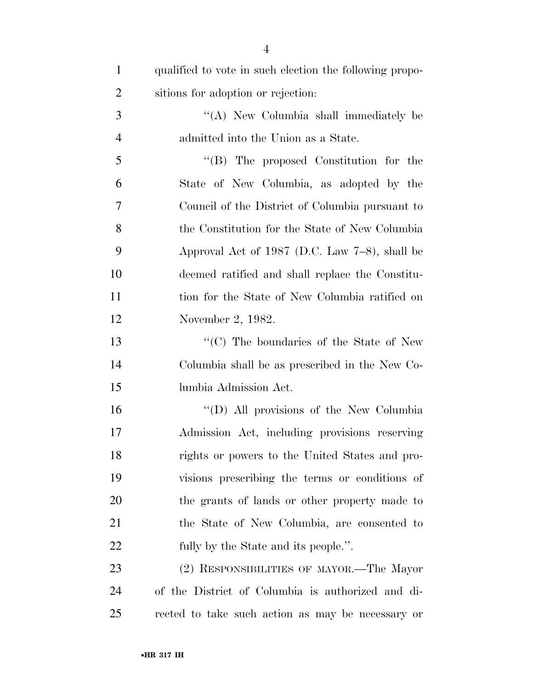| $\mathbf{1}$   | qualified to vote in such election the following propo- |
|----------------|---------------------------------------------------------|
| $\overline{2}$ | sitions for adoption or rejection.                      |
| 3              | "(A) New Columbia shall immediately be                  |
| $\overline{4}$ | admitted into the Union as a State.                     |
| 5              | $\lq\lq$ (B) The proposed Constitution for the          |
| 6              | State of New Columbia, as adopted by the                |
| 7              | Council of the District of Columbia pursuant to         |
| 8              | the Constitution for the State of New Columbia          |
| 9              | Approval Act of 1987 (D.C. Law $7-8$ ), shall be        |
| 10             | deemed ratified and shall replace the Constitu-         |
| 11             | tion for the State of New Columbia ratified on          |
| 12             | November 2, 1982.                                       |
| 13             | "(C) The boundaries of the State of New                 |
| 14             | Columbia shall be as prescribed in the New Co-          |
| 15             | lumbia Admission Act.                                   |
| 16             | "(D) All provisions of the New Columbia                 |
| 17             | Admission Act, including provisions reserving           |
| 18             | rights or powers to the United States and pro-          |
| 19             | visions prescribing the terms or conditions of          |
| 20             | the grants of lands or other property made to           |
| 21             | the State of New Columbia, are consented to             |
| 22             | fully by the State and its people.".                    |
| 23             | (2) RESPONSIBILITIES OF MAYOR.—The Mayor                |
| 24             | of the District of Columbia is authorized and di-       |
| 25             | rected to take such action as may be necessary or       |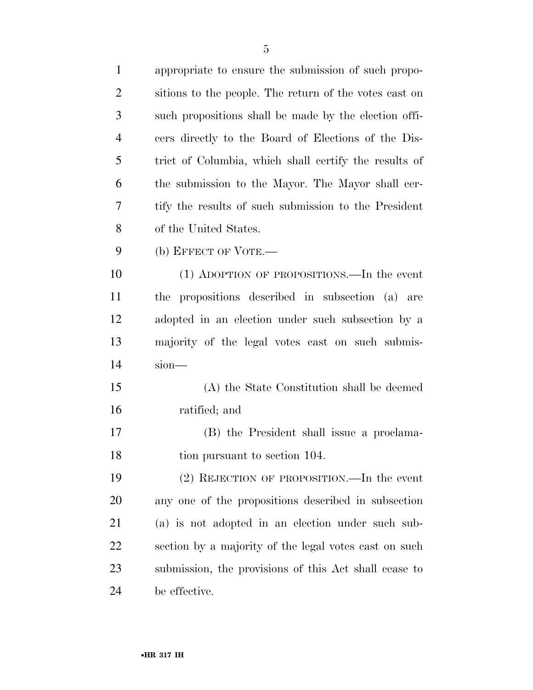| $\mathbf{1}$   | appropriate to ensure the submission of such propo-    |
|----------------|--------------------------------------------------------|
| $\overline{2}$ | sitions to the people. The return of the votes cast on |
| 3              | such propositions shall be made by the election offi-  |
| $\overline{4}$ | cers directly to the Board of Elections of the Dis-    |
| 5              | trict of Columbia, which shall certify the results of  |
| 6              | the submission to the Mayor. The Mayor shall cer-      |
| 7              | tify the results of such submission to the President   |
| 8              | of the United States.                                  |
| 9              | (b) EFFECT OF VOTE.—                                   |
| 10             | (1) ADOPTION OF PROPOSITIONS.—In the event             |
| 11             | the propositions described in subsection (a) are       |
| 12             | adopted in an election under such subsection by a      |
| 13             | majority of the legal votes cast on such submis-       |
| 14             | sion-                                                  |
| 15             | (A) the State Constitution shall be deemed             |
| 16             | ratified; and                                          |
| 17             | (B) the President shall issue a proclama-              |
| 18             | tion pursuant to section 104.                          |
| 19             | (2) REJECTION OF PROPOSITION.—In the event             |
| 20             | any one of the propositions described in subsection    |
| 21             | (a) is not adopted in an election under such sub-      |
| 22             | section by a majority of the legal votes cast on such  |
| 23             | submission, the provisions of this Act shall cease to  |
| 24             | be effective.                                          |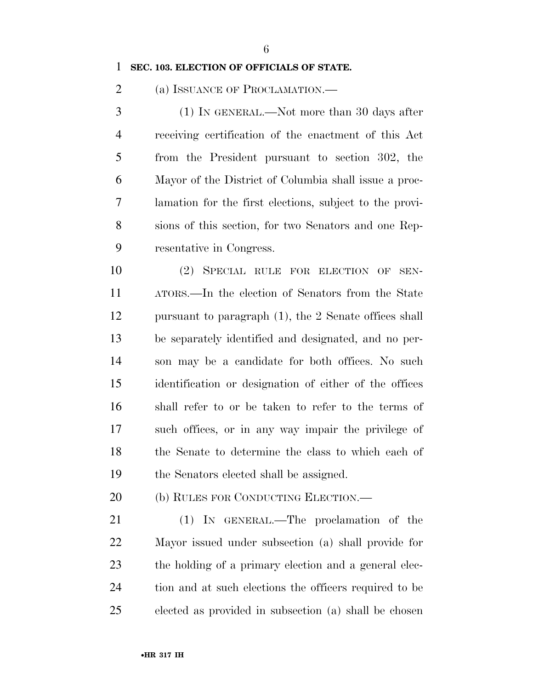### **SEC. 103. ELECTION OF OFFICIALS OF STATE.**

2 (a) ISSUANCE OF PROCLAMATION.—

 (1) IN GENERAL.—Not more than 30 days after receiving certification of the enactment of this Act from the President pursuant to section 302, the Mayor of the District of Columbia shall issue a proc- lamation for the first elections, subject to the provi- sions of this section, for two Senators and one Rep-resentative in Congress.

 (2) SPECIAL RULE FOR ELECTION OF SEN- ATORS.—In the election of Senators from the State pursuant to paragraph (1), the 2 Senate offices shall be separately identified and designated, and no per- son may be a candidate for both offices. No such identification or designation of either of the offices shall refer to or be taken to refer to the terms of such offices, or in any way impair the privilege of the Senate to determine the class to which each of the Senators elected shall be assigned.

(b) RULES FOR CONDUCTING ELECTION.—

 (1) IN GENERAL.—The proclamation of the Mayor issued under subsection (a) shall provide for 23 the holding of a primary election and a general elec- tion and at such elections the officers required to be elected as provided in subsection (a) shall be chosen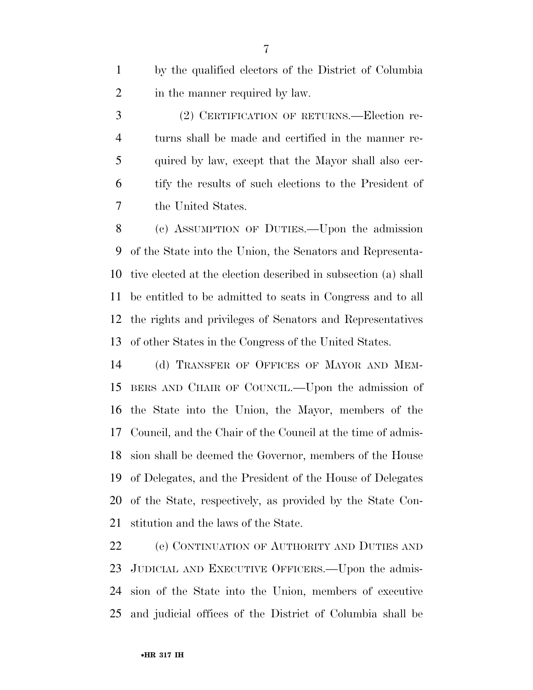by the qualified electors of the District of Columbia 2 in the manner required by law.

 (2) CERTIFICATION OF RETURNS.—Election re- turns shall be made and certified in the manner re- quired by law, except that the Mayor shall also cer- tify the results of such elections to the President of the United States.

 (c) ASSUMPTION OF DUTIES.—Upon the admission of the State into the Union, the Senators and Representa- tive elected at the election described in subsection (a) shall be entitled to be admitted to seats in Congress and to all the rights and privileges of Senators and Representatives of other States in the Congress of the United States.

 (d) TRANSFER OF OFFICES OF MAYOR AND MEM- BERS AND CHAIR OF COUNCIL.—Upon the admission of the State into the Union, the Mayor, members of the Council, and the Chair of the Council at the time of admis- sion shall be deemed the Governor, members of the House of Delegates, and the President of the House of Delegates of the State, respectively, as provided by the State Con-stitution and the laws of the State.

 (e) CONTINUATION OF AUTHORITY AND DUTIES AND JUDICIAL AND EXECUTIVE OFFICERS.—Upon the admis- sion of the State into the Union, members of executive and judicial offices of the District of Columbia shall be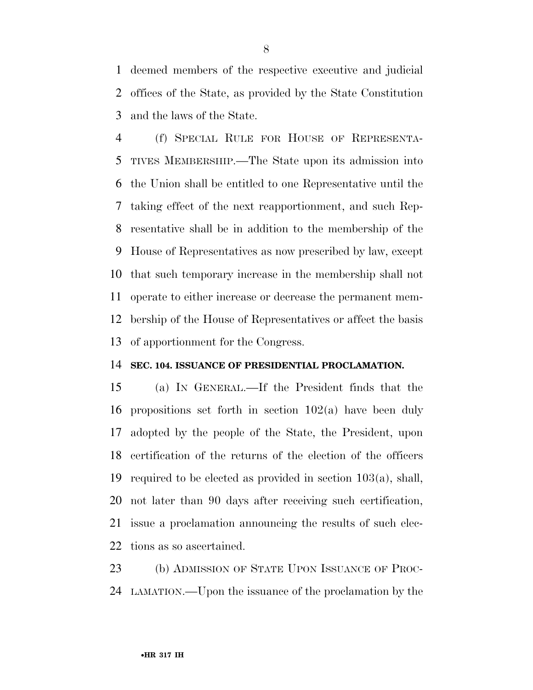deemed members of the respective executive and judicial offices of the State, as provided by the State Constitution and the laws of the State.

 (f) SPECIAL RULE FOR HOUSE OF REPRESENTA- TIVES MEMBERSHIP.—The State upon its admission into the Union shall be entitled to one Representative until the taking effect of the next reapportionment, and such Rep- resentative shall be in addition to the membership of the House of Representatives as now prescribed by law, except that such temporary increase in the membership shall not operate to either increase or decrease the permanent mem- bership of the House of Representatives or affect the basis of apportionment for the Congress.

### **SEC. 104. ISSUANCE OF PRESIDENTIAL PROCLAMATION.**

 (a) IN GENERAL.—If the President finds that the propositions set forth in section 102(a) have been duly adopted by the people of the State, the President, upon certification of the returns of the election of the officers required to be elected as provided in section 103(a), shall, not later than 90 days after receiving such certification, issue a proclamation announcing the results of such elec-tions as so ascertained.

23 (b) ADMISSION OF STATE UPON ISSUANCE OF PROC-LAMATION.—Upon the issuance of the proclamation by the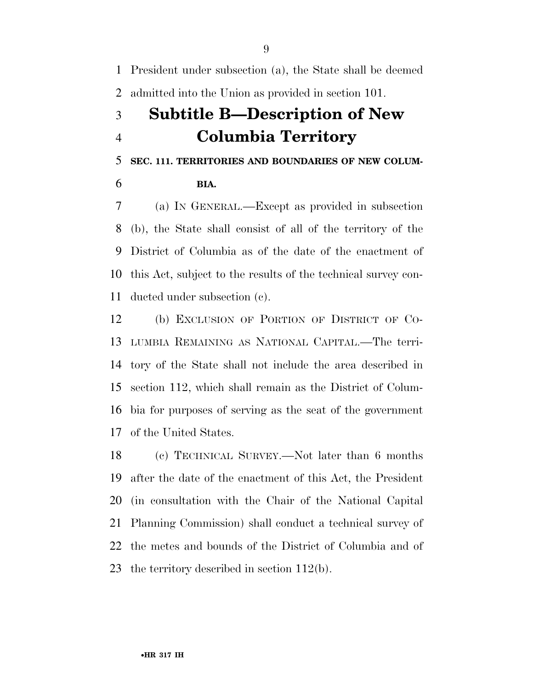President under subsection (a), the State shall be deemed admitted into the Union as provided in section 101.

## **Subtitle B—Description of New Columbia Territory**

**SEC. 111. TERRITORIES AND BOUNDARIES OF NEW COLUM-**

**BIA.** 

 (a) IN GENERAL.—Except as provided in subsection (b), the State shall consist of all of the territory of the District of Columbia as of the date of the enactment of this Act, subject to the results of the technical survey con-ducted under subsection (c).

 (b) EXCLUSION OF PORTION OF DISTRICT OF CO- LUMBIA REMAINING AS NATIONAL CAPITAL.—The terri- tory of the State shall not include the area described in section 112, which shall remain as the District of Colum- bia for purposes of serving as the seat of the government of the United States.

 (c) TECHNICAL SURVEY.—Not later than 6 months after the date of the enactment of this Act, the President (in consultation with the Chair of the National Capital Planning Commission) shall conduct a technical survey of the metes and bounds of the District of Columbia and of the territory described in section 112(b).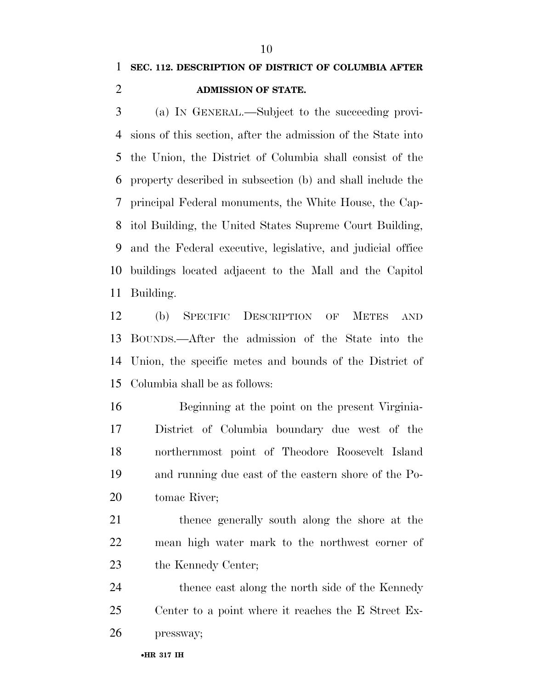### **SEC. 112. DESCRIPTION OF DISTRICT OF COLUMBIA AFTER ADMISSION OF STATE.**

 (a) IN GENERAL.—Subject to the succeeding provi- sions of this section, after the admission of the State into the Union, the District of Columbia shall consist of the property described in subsection (b) and shall include the principal Federal monuments, the White House, the Cap- itol Building, the United States Supreme Court Building, and the Federal executive, legislative, and judicial office buildings located adjacent to the Mall and the Capitol Building.

 (b) SPECIFIC DESCRIPTION OF METES AND BOUNDS.—After the admission of the State into the Union, the specific metes and bounds of the District of Columbia shall be as follows:

 Beginning at the point on the present Virginia- District of Columbia boundary due west of the northernmost point of Theodore Roosevelt Island and running due east of the eastern shore of the Po-tomac River;

 thence generally south along the shore at the mean high water mark to the northwest corner of 23 the Kennedy Center;

24 thence east along the north side of the Kennedy Center to a point where it reaches the E Street Ex-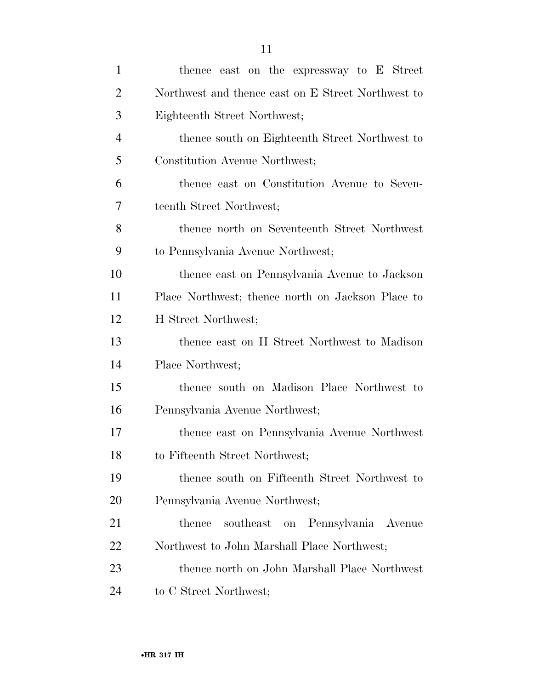| $\mathbf{1}$   | thence east on the expressway to E Street          |
|----------------|----------------------------------------------------|
| $\overline{2}$ | Northwest and thence east on E Street Northwest to |
| 3              | Eighteenth Street Northwest;                       |
| $\overline{4}$ | thence south on Eighteenth Street Northwest to     |
| 5              | Constitution Avenue Northwest;                     |
| 6              | thence east on Constitution Avenue to Seven-       |
| 7              | teenth Street Northwest;                           |
| 8              | thence north on Seventeenth Street Northwest       |
| 9              | to Pennsylvania Avenue Northwest;                  |
| 10             | thence east on Pennsylvania Avenue to Jackson      |
| 11             | Place Northwest; thence north on Jackson Place to  |
| 12             | H Street Northwest;                                |
| 13             | thence east on H Street Northwest to Madison       |
| 14             | Place Northwest;                                   |
| 15             | thence south on Madison Place Northwest to         |
| 16             | Pennsylvania Avenue Northwest;                     |
| 17             | thence east on Pennsylvania Avenue Northwest       |
| 18             | to Fifteenth Street Northwest;                     |
| 19             | thence south on Fifteenth Street Northwest to      |
| 20             | Pennsylvania Avenue Northwest;                     |
| 21             | southeast on Pennsylvania Avenue<br>thence         |
| 22             | Northwest to John Marshall Place Northwest;        |
| 23             | thence north on John Marshall Place Northwest      |
| 24             | to C Street Northwest;                             |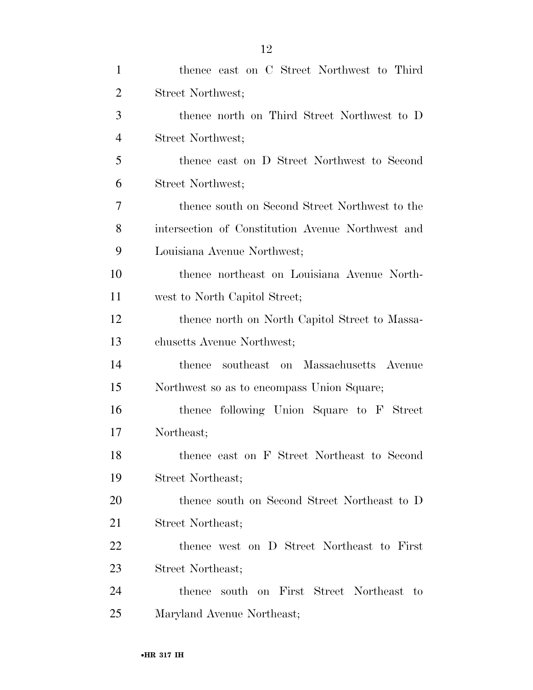| $\mathbf{1}$   | thence east on C Street Northwest to Third        |
|----------------|---------------------------------------------------|
| $\overline{2}$ | Street Northwest;                                 |
| 3              | thence north on Third Street Northwest to D       |
| $\overline{4}$ | Street Northwest;                                 |
| 5              | thence east on D Street Northwest to Second       |
| 6              | Street Northwest;                                 |
| 7              | thence south on Second Street Northwest to the    |
| 8              | intersection of Constitution Avenue Northwest and |
| 9              | Louisiana Avenue Northwest;                       |
| 10             | thence northeast on Louisiana Avenue North-       |
| 11             | west to North Capitol Street;                     |
| 12             | thence north on North Capitol Street to Massa-    |
| 13             | chusetts Avenue Northwest;                        |
| 14             | southeast on Massachusetts Avenue<br>thence       |
| 15             | Northwest so as to encompass Union Square;        |
| 16             | thence following Union Square to F Street         |
| 17             | Northeast;                                        |
| 18             | thence east on F Street Northeast to Second       |
| 19             | Street Northeast;                                 |
| 20             | thence south on Second Street Northeast to D      |
| 21             | Street Northeast;                                 |
| <u>22</u>      | thence west on D Street Northeast to First        |
| 23             | Street Northeast;                                 |
| 24             | south on First Street Northeast<br>thence<br>to   |
| 25             | Maryland Avenue Northeast;                        |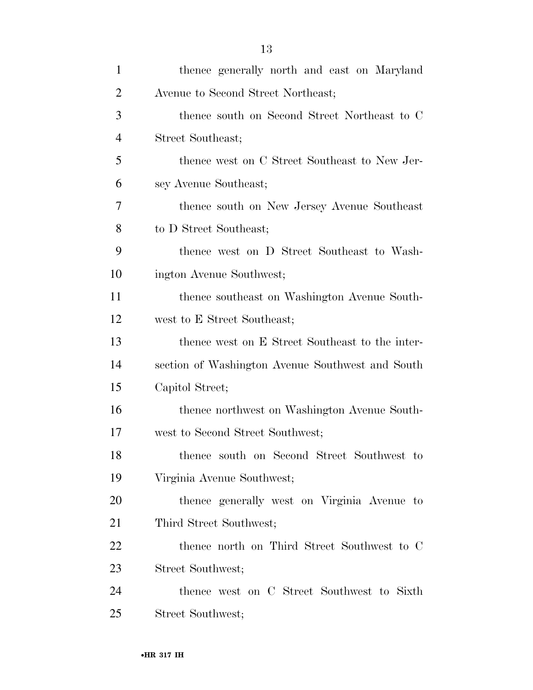| $\mathbf{1}$   | thence generally north and east on Maryland      |
|----------------|--------------------------------------------------|
| $\overline{2}$ | Avenue to Second Street Northeast;               |
| 3              | thence south on Second Street Northeast to C     |
| $\overline{4}$ | Street Southeast;                                |
| 5              | thence west on C Street Southeast to New Jer-    |
| 6              | sey Avenue Southeast;                            |
| 7              | thence south on New Jersey Avenue Southeast      |
| 8              | to D Street Southeast;                           |
| 9              | thence west on D Street Southeast to Wash-       |
| 10             | ington Avenue Southwest;                         |
| 11             | thence southeast on Washington Avenue South-     |
| 12             | west to E Street Southeast;                      |
| 13             | thence west on E Street Southeast to the inter-  |
| 14             | section of Washington Avenue Southwest and South |
| 15             | Capitol Street;                                  |
| 16             | thence northwest on Washington Avenue South-     |
| 17             | west to Second Street Southwest;                 |
| 18             | thence south on Second Street Southwest to       |
| 19             | Virginia Avenue Southwest;                       |
| 20             | thence generally west on Virginia Avenue to      |
| 21             | Third Street Southwest;                          |
| 22             | thence north on Third Street Southwest to C      |
| 23             | Street Southwest;                                |
| 24             | thence west on C Street Southwest to Sixth       |
| 25             | Street Southwest;                                |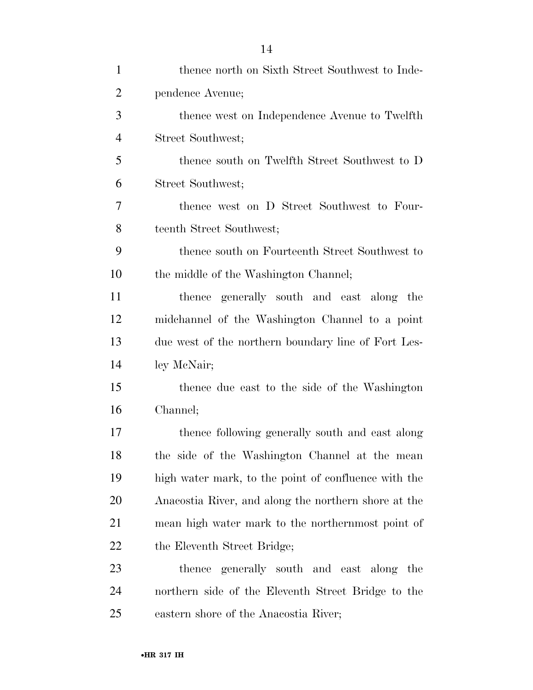| $\mathbf{1}$   | thence north on Sixth Street Southwest to Inde-      |
|----------------|------------------------------------------------------|
| $\overline{2}$ | pendence Avenue;                                     |
| 3              | thence west on Independence Avenue to Twelfth        |
| $\overline{4}$ | Street Southwest;                                    |
| 5              | thence south on Twelfth Street Southwest to D        |
| 6              | Street Southwest;                                    |
| 7              | thence west on D Street Southwest to Four-           |
| 8              | teenth Street Southwest;                             |
| 9              | thence south on Fourteenth Street Southwest to       |
| 10             | the middle of the Washington Channel;                |
| 11             | thence generally south and east along the            |
| 12             | midchannel of the Washington Channel to a point      |
| 13             | due west of the northern boundary line of Fort Les-  |
| 14             | ley McNair;                                          |
| 15             | thence due east to the side of the Washington        |
| 16             | Channel;                                             |
| 17             | thence following generally south and east along      |
| 18             | the side of the Washington Channel at the mean       |
| 19             | high water mark, to the point of confluence with the |
| 20             | Anacostia River, and along the northern shore at the |
| 21             | mean high water mark to the northernmost point of    |
| 22             | the Eleventh Street Bridge;                          |
| 23             | thence generally south and east along the            |
| 24             | northern side of the Eleventh Street Bridge to the   |
| 25             | eastern shore of the Anacostia River;                |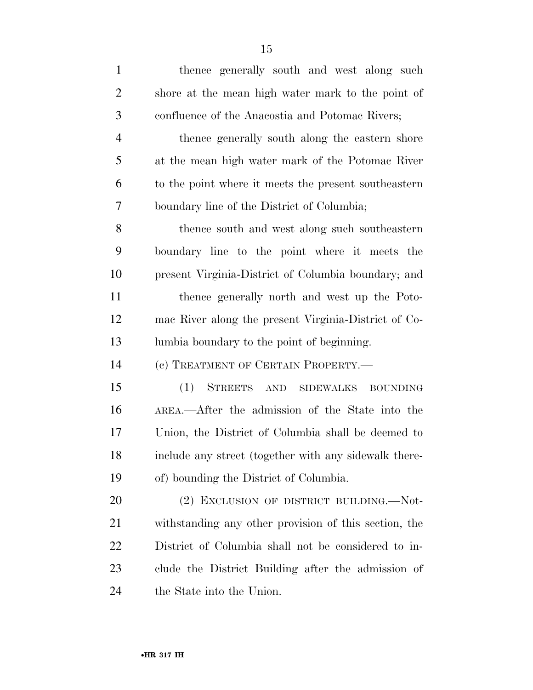| $\mathbf{1}$   | thence generally south and west along such                |
|----------------|-----------------------------------------------------------|
| $\overline{2}$ | shore at the mean high water mark to the point of         |
| 3              | confluence of the Anacostia and Potomac Rivers;           |
| $\overline{4}$ | thence generally south along the eastern shore            |
| 5              | at the mean high water mark of the Potomac River          |
| 6              | to the point where it meets the present southeastern      |
| 7              | boundary line of the District of Columbia;                |
| 8              | thence south and west along such southeastern             |
| 9              | boundary line to the point where it meets the             |
| 10             | present Virginia-District of Columbia boundary; and       |
| 11             | thence generally north and west up the Poto-              |
| 12             | mac River along the present Virginia-District of Co-      |
| 13             | lumbia boundary to the point of beginning.                |
| 14             | (c) TREATMENT OF CERTAIN PROPERTY.—                       |
| 15             | <b>STREETS</b><br>(1)<br>AND SIDEWALKS<br><b>BOUNDING</b> |
| 16             | AREA.—After the admission of the State into the           |
| 17             | Union, the District of Columbia shall be deemed to        |
| 18             | include any street (together with any sidewalk there-     |
| 19             | of) bounding the District of Columbia.                    |
| 20             | (2) EXCLUSION OF DISTRICT BUILDING.—Not-                  |
| 21             | withstanding any other provision of this section, the     |
| 22             | District of Columbia shall not be considered to in-       |
| 23             | clude the District Building after the admission of        |
| 24             | the State into the Union.                                 |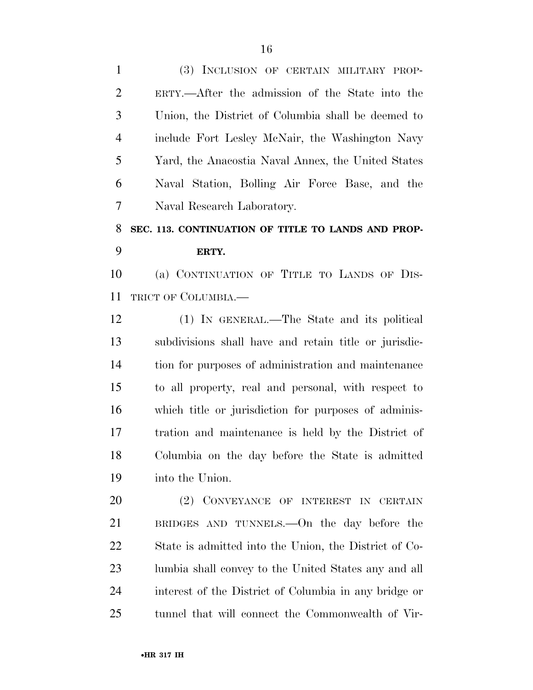(3) INCLUSION OF CERTAIN MILITARY PROP- ERTY.—After the admission of the State into the Union, the District of Columbia shall be deemed to include Fort Lesley McNair, the Washington Navy Yard, the Anacostia Naval Annex, the United States Naval Station, Bolling Air Force Base, and the Naval Research Laboratory.

### **SEC. 113. CONTINUATION OF TITLE TO LANDS AND PROP-ERTY.**

 (a) CONTINUATION OF TITLE TO LANDS OF DIS-TRICT OF COLUMBIA.—

 (1) IN GENERAL.—The State and its political subdivisions shall have and retain title or jurisdic- tion for purposes of administration and maintenance to all property, real and personal, with respect to which title or jurisdiction for purposes of adminis- tration and maintenance is held by the District of Columbia on the day before the State is admitted into the Union.

 (2) CONVEYANCE OF INTEREST IN CERTAIN BRIDGES AND TUNNELS.—On the day before the State is admitted into the Union, the District of Co- lumbia shall convey to the United States any and all interest of the District of Columbia in any bridge or tunnel that will connect the Commonwealth of Vir-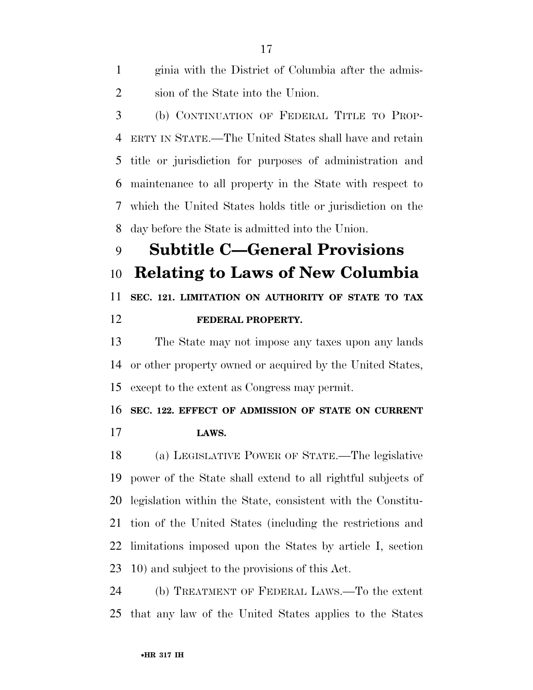| 1              | ginia with the District of Columbia after the admis-         |
|----------------|--------------------------------------------------------------|
| 2              | sion of the State into the Union.                            |
| 3              | (b) CONTINUATION OF FEDERAL TITLE TO PROP-                   |
| 4              | ERTY IN STATE.—The United States shall have and retain       |
| 5 <sup>5</sup> | title or jurisdiction for purposes of administration and     |
| 6              | maintenance to all property in the State with respect to     |
|                | 7 which the United States holds title or jurisdiction on the |
| 8              | day before the State is admitted into the Union.             |
| 9              | <b>Subtitle C-General Provisions</b>                         |
| 10             | <b>Relating to Laws of New Columbia</b>                      |
| 11             | SEC. 121. LIMITATION ON AUTHORITY OF STATE TO TAX            |
| 12             | FEDERAL PROPERTY.                                            |
| 13             | The State may not impose any taxes upon any lands            |
|                |                                                              |

 or other property owned or acquired by the United States, except to the extent as Congress may permit.

**SEC. 122. EFFECT OF ADMISSION OF STATE ON CURRENT** 

**LAWS.** 

 (a) LEGISLATIVE POWER OF STATE.—The legislative power of the State shall extend to all rightful subjects of legislation within the State, consistent with the Constitu- tion of the United States (including the restrictions and limitations imposed upon the States by article I, section 10) and subject to the provisions of this Act.

 (b) TREATMENT OF FEDERAL LAWS.—To the extent that any law of the United States applies to the States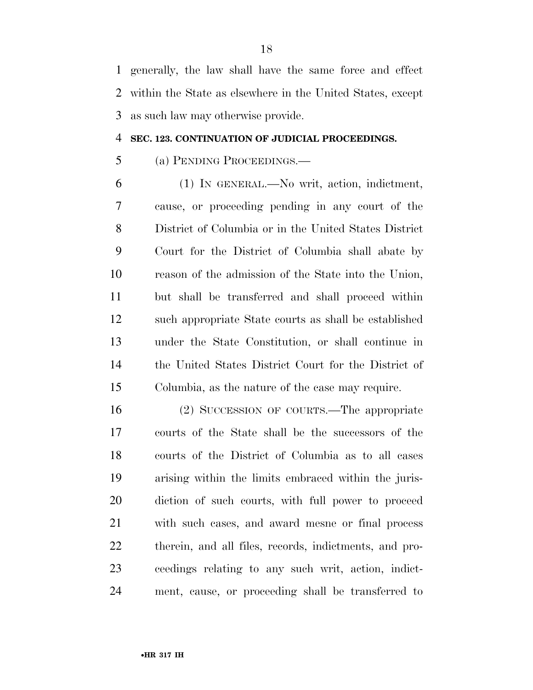generally, the law shall have the same force and effect within the State as elsewhere in the United States, except as such law may otherwise provide.

### **SEC. 123. CONTINUATION OF JUDICIAL PROCEEDINGS.**

### (a) PENDING PROCEEDINGS.—

 (1) IN GENERAL.—No writ, action, indictment, cause, or proceeding pending in any court of the District of Columbia or in the United States District Court for the District of Columbia shall abate by reason of the admission of the State into the Union, but shall be transferred and shall proceed within such appropriate State courts as shall be established under the State Constitution, or shall continue in the United States District Court for the District of Columbia, as the nature of the case may require.

 (2) SUCCESSION OF COURTS.—The appropriate courts of the State shall be the successors of the courts of the District of Columbia as to all cases arising within the limits embraced within the juris- diction of such courts, with full power to proceed with such cases, and award mesne or final process therein, and all files, records, indictments, and pro- ceedings relating to any such writ, action, indict-ment, cause, or proceeding shall be transferred to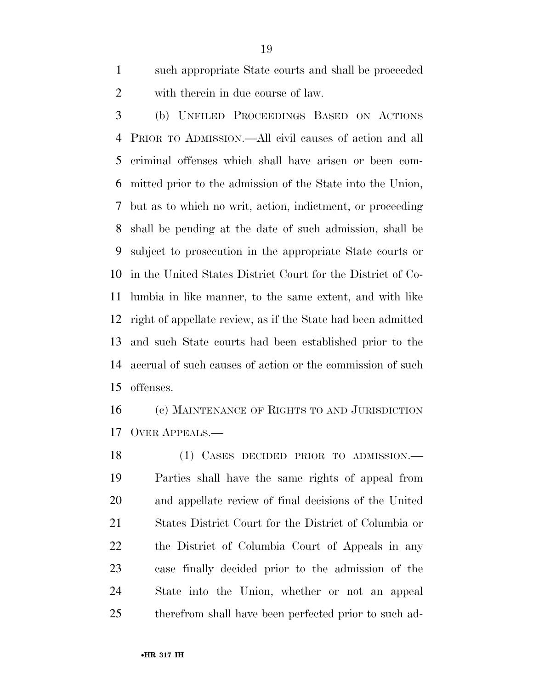such appropriate State courts and shall be proceeded with therein in due course of law.

 (b) UNFILED PROCEEDINGS BASED ON ACTIONS PRIOR TO ADMISSION.—All civil causes of action and all criminal offenses which shall have arisen or been com- mitted prior to the admission of the State into the Union, but as to which no writ, action, indictment, or proceeding shall be pending at the date of such admission, shall be subject to prosecution in the appropriate State courts or in the United States District Court for the District of Co- lumbia in like manner, to the same extent, and with like right of appellate review, as if the State had been admitted and such State courts had been established prior to the accrual of such causes of action or the commission of such offenses.

 (c) MAINTENANCE OF RIGHTS TO AND JURISDICTION OVER APPEALS.—

 (1) CASES DECIDED PRIOR TO ADMISSION.— Parties shall have the same rights of appeal from and appellate review of final decisions of the United States District Court for the District of Columbia or the District of Columbia Court of Appeals in any case finally decided prior to the admission of the State into the Union, whether or not an appeal therefrom shall have been perfected prior to such ad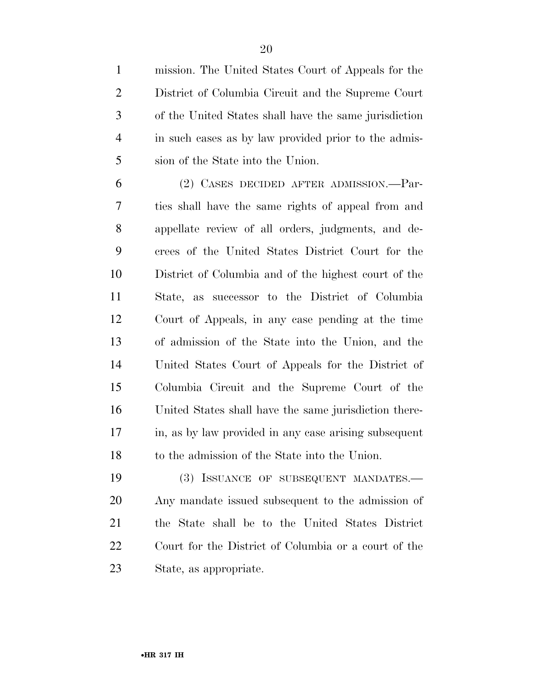mission. The United States Court of Appeals for the District of Columbia Circuit and the Supreme Court of the United States shall have the same jurisdiction in such cases as by law provided prior to the admis-sion of the State into the Union.

 (2) CASES DECIDED AFTER ADMISSION.—Par- ties shall have the same rights of appeal from and appellate review of all orders, judgments, and de- crees of the United States District Court for the District of Columbia and of the highest court of the State, as successor to the District of Columbia Court of Appeals, in any case pending at the time of admission of the State into the Union, and the United States Court of Appeals for the District of Columbia Circuit and the Supreme Court of the United States shall have the same jurisdiction there- in, as by law provided in any case arising subsequent to the admission of the State into the Union.

 (3) ISSUANCE OF SUBSEQUENT MANDATES.— Any mandate issued subsequent to the admission of the State shall be to the United States District Court for the District of Columbia or a court of the State, as appropriate.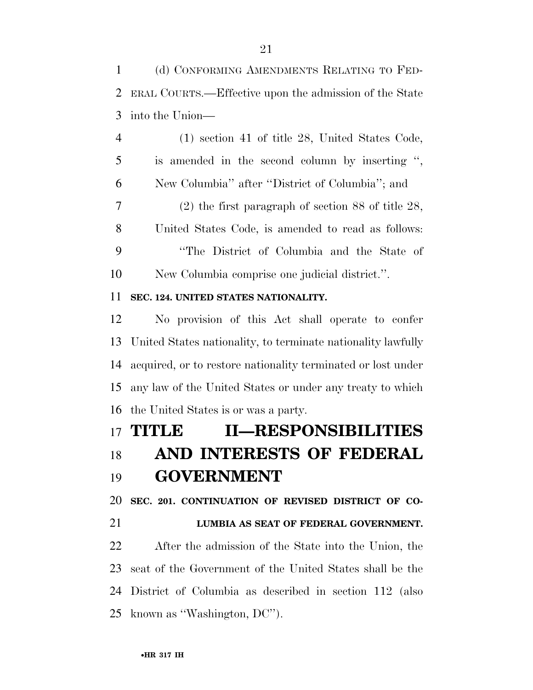(d) CONFORMING AMENDMENTS RELATING TO FED- ERAL COURTS.—Effective upon the admission of the State into the Union—

 (1) section 41 of title 28, United States Code, is amended in the second column by inserting '', New Columbia'' after ''District of Columbia''; and (2) the first paragraph of section 88 of title 28, United States Code, is amended to read as follows:

 ''The District of Columbia and the State of New Columbia comprise one judicial district.''.

### **SEC. 124. UNITED STATES NATIONALITY.**

 No provision of this Act shall operate to confer United States nationality, to terminate nationality lawfully acquired, or to restore nationality terminated or lost under any law of the United States or under any treaty to which the United States is or was a party.

## **TITLE II—RESPONSIBILITIES AND INTERESTS OF FEDERAL GOVERNMENT**

**SEC. 201. CONTINUATION OF REVISED DISTRICT OF CO-**

### **LUMBIA AS SEAT OF FEDERAL GOVERNMENT.**

 After the admission of the State into the Union, the seat of the Government of the United States shall be the District of Columbia as described in section 112 (also known as ''Washington, DC'').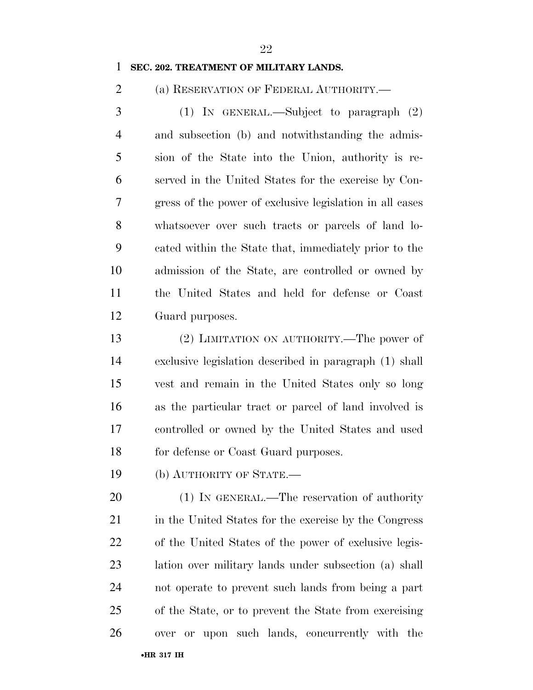### **SEC. 202. TREATMENT OF MILITARY LANDS.**

(a) RESERVATION OF FEDERAL AUTHORITY.—

 (1) IN GENERAL.—Subject to paragraph (2) and subsection (b) and notwithstanding the admis- sion of the State into the Union, authority is re- served in the United States for the exercise by Con- gress of the power of exclusive legislation in all cases whatsoever over such tracts or parcels of land lo- cated within the State that, immediately prior to the admission of the State, are controlled or owned by the United States and held for defense or Coast Guard purposes.

 (2) LIMITATION ON AUTHORITY.—The power of exclusive legislation described in paragraph (1) shall vest and remain in the United States only so long as the particular tract or parcel of land involved is controlled or owned by the United States and used for defense or Coast Guard purposes.

(b) AUTHORITY OF STATE.—

20 (1) IN GENERAL.—The reservation of authority in the United States for the exercise by the Congress of the United States of the power of exclusive legis- lation over military lands under subsection (a) shall not operate to prevent such lands from being a part of the State, or to prevent the State from exercising over or upon such lands, concurrently with the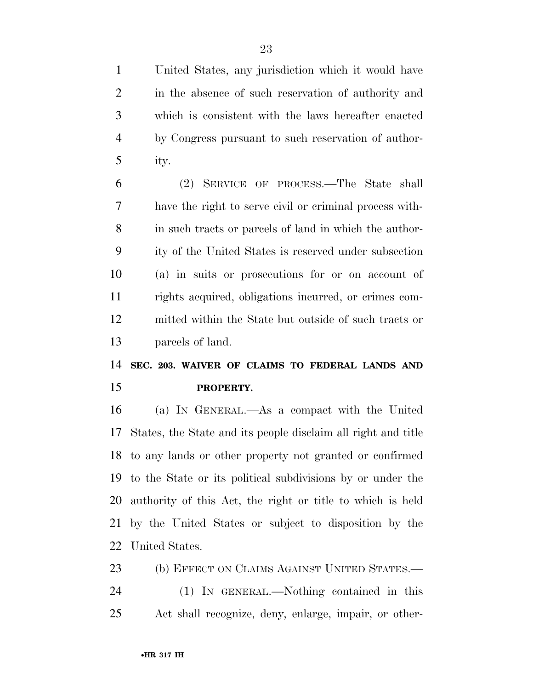United States, any jurisdiction which it would have in the absence of such reservation of authority and which is consistent with the laws hereafter enacted by Congress pursuant to such reservation of author-ity.

 (2) SERVICE OF PROCESS.—The State shall have the right to serve civil or criminal process with- in such tracts or parcels of land in which the author- ity of the United States is reserved under subsection (a) in suits or prosecutions for or on account of rights acquired, obligations incurred, or crimes com- mitted within the State but outside of such tracts or parcels of land.

## **SEC. 203. WAIVER OF CLAIMS TO FEDERAL LANDS AND PROPERTY.**

 (a) IN GENERAL.—As a compact with the United States, the State and its people disclaim all right and title to any lands or other property not granted or confirmed to the State or its political subdivisions by or under the authority of this Act, the right or title to which is held by the United States or subject to disposition by the United States.

 (b) EFFECT ON CLAIMS AGAINST UNITED STATES.— (1) IN GENERAL.—Nothing contained in this Act shall recognize, deny, enlarge, impair, or other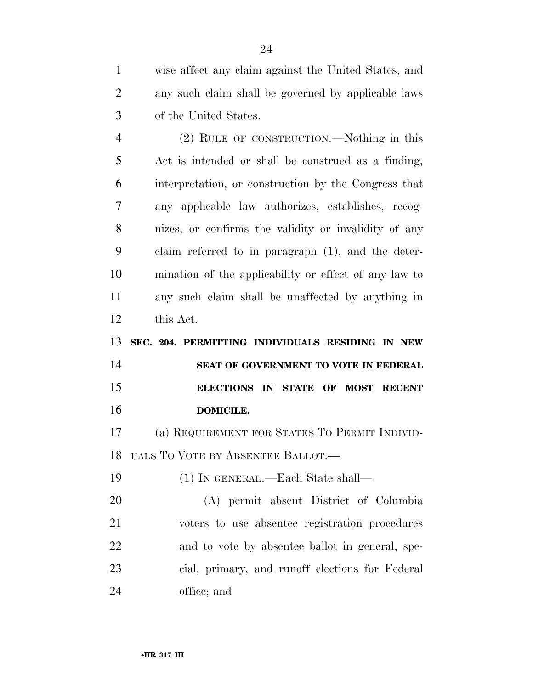wise affect any claim against the United States, and any such claim shall be governed by applicable laws of the United States.

 (2) RULE OF CONSTRUCTION.—Nothing in this Act is intended or shall be construed as a finding, interpretation, or construction by the Congress that any applicable law authorizes, establishes, recog- nizes, or confirms the validity or invalidity of any claim referred to in paragraph (1), and the deter- mination of the applicability or effect of any law to any such claim shall be unaffected by anything in this Act.

 **SEC. 204. PERMITTING INDIVIDUALS RESIDING IN NEW SEAT OF GOVERNMENT TO VOTE IN FEDERAL ELECTIONS IN STATE OF MOST RECENT DOMICILE.** 

 (a) REQUIREMENT FOR STATES TO PERMIT INDIVID-UALS TO VOTE BY ABSENTEE BALLOT.—

(1) IN GENERAL.—Each State shall—

 (A) permit absent District of Columbia voters to use absentee registration procedures and to vote by absentee ballot in general, spe- cial, primary, and runoff elections for Federal office; and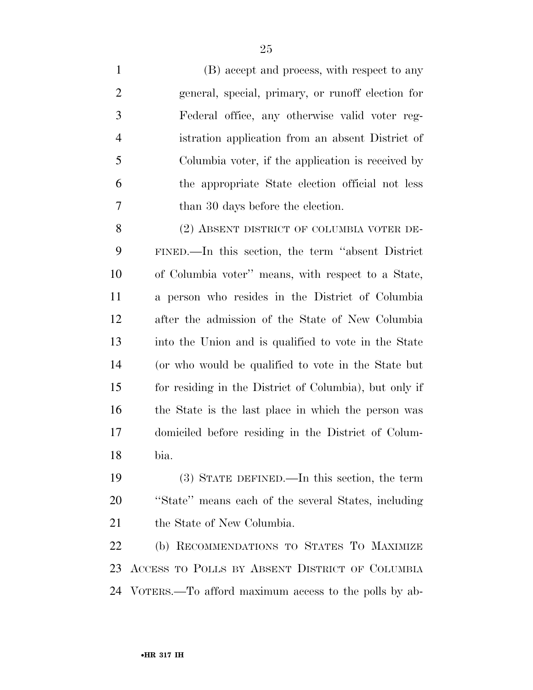(B) accept and process, with respect to any general, special, primary, or runoff election for Federal office, any otherwise valid voter reg- istration application from an absent District of Columbia voter, if the application is received by the appropriate State election official not less 7 than 30 days before the election.

8 (2) ABSENT DISTRICT OF COLUMBIA VOTER DE- FINED.—In this section, the term ''absent District of Columbia voter'' means, with respect to a State, a person who resides in the District of Columbia after the admission of the State of New Columbia into the Union and is qualified to vote in the State (or who would be qualified to vote in the State but for residing in the District of Columbia), but only if the State is the last place in which the person was domiciled before residing in the District of Colum-bia.

 (3) STATE DEFINED.—In this section, the term ''State'' means each of the several States, including 21 the State of New Columbia.

 (b) RECOMMENDATIONS TO STATES TO MAXIMIZE ACCESS TO POLLS BY ABSENT DISTRICT OF COLUMBIA VOTERS.—To afford maximum access to the polls by ab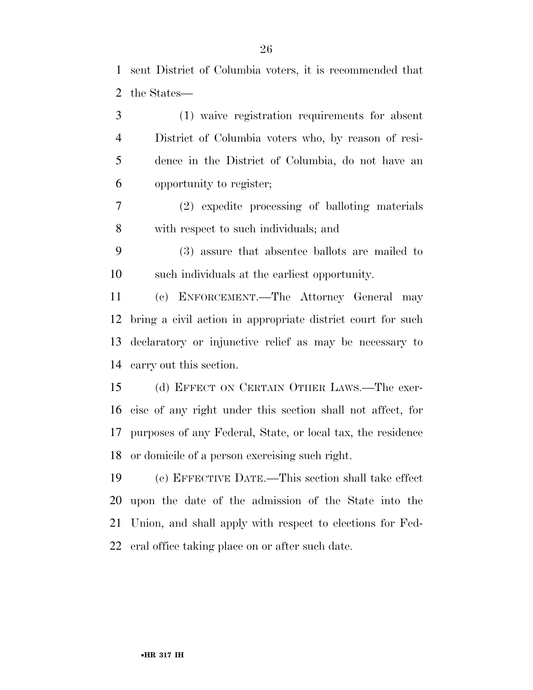sent District of Columbia voters, it is recommended that the States—

 (1) waive registration requirements for absent District of Columbia voters who, by reason of resi- dence in the District of Columbia, do not have an opportunity to register; (2) expedite processing of balloting materials with respect to such individuals; and (3) assure that absentee ballots are mailed to such individuals at the earliest opportunity. (c) ENFORCEMENT.—The Attorney General may bring a civil action in appropriate district court for such declaratory or injunctive relief as may be necessary to carry out this section. (d) EFFECT ON CERTAIN OTHER LAWS.—The exer- cise of any right under this section shall not affect, for purposes of any Federal, State, or local tax, the residence or domicile of a person exercising such right. (e) EFFECTIVE DATE.—This section shall take effect upon the date of the admission of the State into the

Union, and shall apply with respect to elections for Fed-

eral office taking place on or after such date.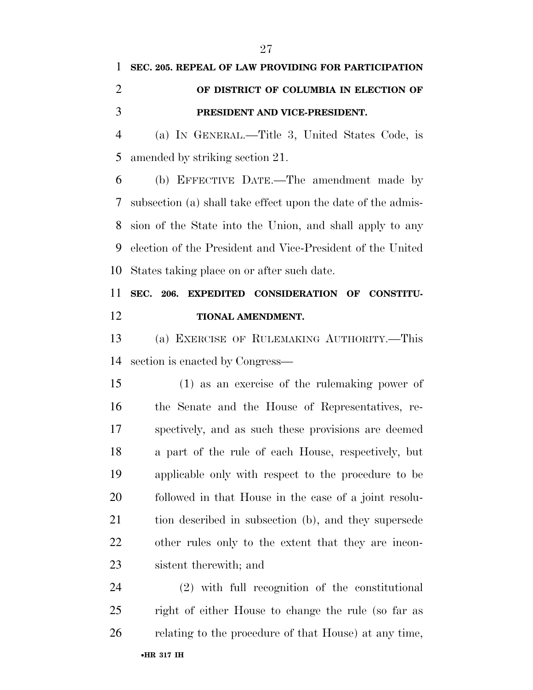# **SEC. 205. REPEAL OF LAW PROVIDING FOR PARTICIPATION OF DISTRICT OF COLUMBIA IN ELECTION OF PRESIDENT AND VICE-PRESIDENT.**  (a) IN GENERAL.—Title 3, United States Code, is

amended by striking section 21.

 (b) EFFECTIVE DATE.—The amendment made by subsection (a) shall take effect upon the date of the admis- sion of the State into the Union, and shall apply to any election of the President and Vice-President of the United States taking place on or after such date.

### **SEC. 206. EXPEDITED CONSIDERATION OF CONSTITU-TIONAL AMENDMENT.**

 (a) EXERCISE OF RULEMAKING AUTHORITY.—This section is enacted by Congress—

 (1) as an exercise of the rulemaking power of the Senate and the House of Representatives, re- spectively, and as such these provisions are deemed a part of the rule of each House, respectively, but applicable only with respect to the procedure to be followed in that House in the case of a joint resolu- tion described in subsection (b), and they supersede other rules only to the extent that they are incon-sistent therewith; and

 (2) with full recognition of the constitutional right of either House to change the rule (so far as relating to the procedure of that House) at any time,

•**HR 317 IH**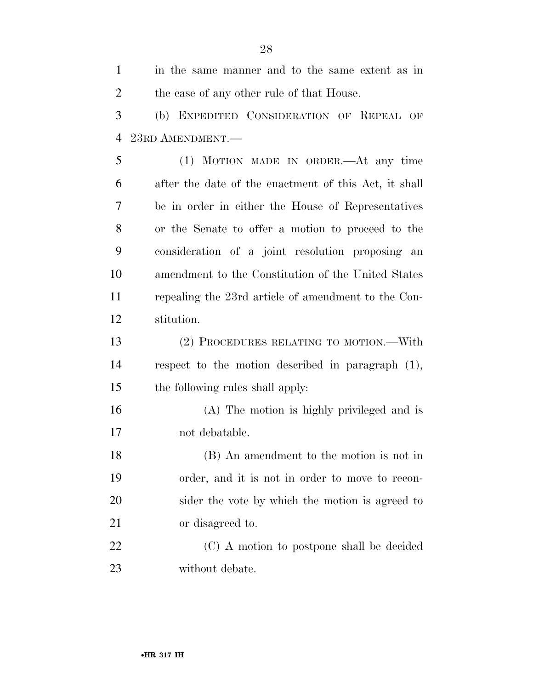in the same manner and to the same extent as in 2 the case of any other rule of that House. (b) EXPEDITED CONSIDERATION OF REPEAL OF 23RD AMENDMENT.— (1) MOTION MADE IN ORDER.—At any time after the date of the enactment of this Act, it shall be in order in either the House of Representatives or the Senate to offer a motion to proceed to the consideration of a joint resolution proposing an amendment to the Constitution of the United States repealing the 23rd article of amendment to the Con- stitution. (2) PROCEDURES RELATING TO MOTION.—With respect to the motion described in paragraph (1), the following rules shall apply: (A) The motion is highly privileged and is not debatable. (B) An amendment to the motion is not in order, and it is not in order to move to recon- sider the vote by which the motion is agreed to 21 or disagreed to. 22 (C) A motion to postpone shall be decided without debate.